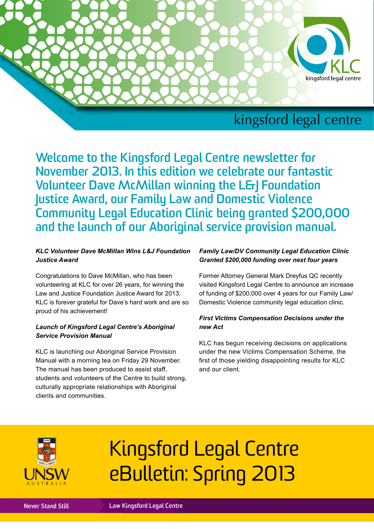

## kingsford legal centre

**Welcome to the Kingsford Legal Centre newsletter for November 2013. In this edition we celebrate our fantastic Volunteer Dave McMillan winning the L&J Foundation Justice Award, our Family Law and Domestic Violence Community Legal Education Clinic being granted \$200,000 and the launch of our Aboriginal service provision manual.**

#### *KLC Volunteer Dave McMillan Wins L&J Foundation Justice Award*

Congratulations to Dave McMillan, who has been volunteering at KLC for over 26 years, for winning the Law and Justice Foundation Justice Award for 2013. KLC is forever grateful for Dave's hard work and are so proud of his achievement!

#### *Launch of Kingsford Legal Centre's Aboriginal Service Provision Manual*

KLC is launching our Aboriginal Service Provision Manual with a morning tea on Friday 29 November. The manual has been produced to assist staff, students and volunteers of the Centre to build strong, culturally appropriate relationships with Aboriginal clients and communities.

#### *Family Law/DV Community Legal Education Clinic Granted \$200,000 funding over next four years*

Former Attorney General Mark Dreyfus QC recently visited Kingsford Legal Centre to announce an increase of funding of \$200,000 over 4 years for our Family Law/ Domestic Violence community legal education clinic.

#### *First Victims Compensation Decisions under the new Act*

KLC has begun receiving decisions on applications under the new Victims Compensation Scheme, the first of those yielding disappointing results for KLC and our client.



# Kingsford Legal Centre eBulletin: Spring 2013

**Never Stand Still Law Kingsford Legal Centre**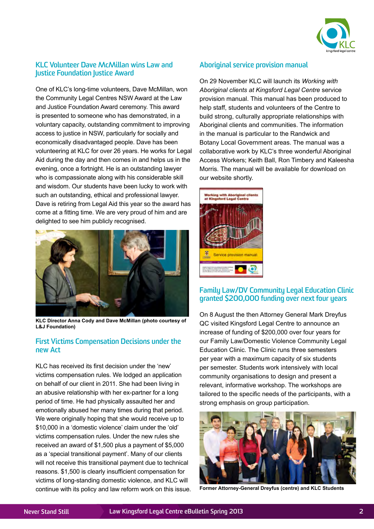

#### **KLC Volunteer Dave McMillan wins Law and Justice Foundation Justice Award**

One of KLC's long-time volunteers, Dave McMillan, won the Community Legal Centres NSW Award at the Law and Justice Foundation Award ceremony. This award is presented to someone who has demonstrated, in a voluntary capacity, outstanding commitment to improving access to justice in NSW, particularly for socially and economically disadvantaged people. Dave has been volunteering at KLC for over 26 years. He works for Legal Aid during the day and then comes in and helps us in the evening, once a fortnight. He is an outstanding lawyer who is compassionate along with his considerable skill and wisdom. Our students have been lucky to work with such an outstanding, ethical and professional lawyer. Dave is retiring from Legal Aid this year so the award has come at a fitting time. We are very proud of him and are delighted to see him publicly recognised.



**KLC Director Anna Cody and Dave McMillan (photo courtesy of L&J Foundation)**

#### **First Victims Compensation Decisions under the new Act**

KLC has received its first decision under the 'new' victims compensation rules. We lodged an application on behalf of our client in 2011. She had been living in an abusive relationship with her ex-partner for a long period of time. He had physically assaulted her and emotionally abused her many times during that period. We were originally hoping that she would receive up to \$10,000 in a 'domestic violence' claim under the 'old' victims compensation rules. Under the new rules she received an award of \$1,500 plus a payment of \$5,000 as a 'special transitional payment'. Many of our clients will not receive this transitional payment due to technical reasons. \$1,500 is clearly insufficient compensation for victims of long-standing domestic violence, and KLC will continue with its policy and law reform work on this issue.

#### **Aboriginal service provision manual**

On 29 November KLC will launch its *Working with Aboriginal clients at Kingsford Legal Centre* service provision manual. This manual has been produced to help staff, students and volunteers of the Centre to build strong, culturally appropriate relationships with Aboriginal clients and communities. The information in the manual is particular to the Randwick and Botany Local Government areas. The manual was a collaborative work by KLC's three wonderful Aboriginal Access Workers; Keith Ball, Ron Timbery and Kaleesha Morris. The manual will be available for download on our website shortly.



#### **Family Law/DV Community Legal Education Clinic granted \$200,000 funding over next four years**

On 8 August the then Attorney General Mark Dreyfus QC visited Kingsford Legal Centre to announce an increase of funding of \$200,000 over four years for our Family Law/Domestic Violence Community Legal Education Clinic. The Clinic runs three semesters per year with a maximum capacity of six students per semester. Students work intensively with local community organisations to design and present a relevant, informative workshop. The workshops are tailored to the specific needs of the participants, with a strong emphasis on group participation.



**Former Attorney-General Dreyfus (centre) and KLC Students**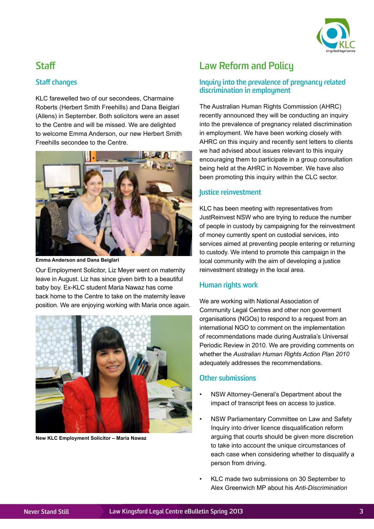

## **Staff**

#### **Staff changes**

KLC farewelled two of our secondees, Charmaine Roberts (Herbert Smith Freehills) and Dana Beiglari (Allens) in September. Both solicitors were an asset to the Centre and will be missed. We are delighted to welcome Emma Anderson, our new Herbert Smith Freehills secondee to the Centre.



**Emma Anderson and Dana Beiglari**

Our Employment Solicitor, Liz Meyer went on maternity leave in August. Liz has since given birth to a beautiful baby boy. Ex-KLC student Maria Nawaz has come back home to the Centre to take on the maternity leave position. We are enjoying working with Maria once again.



**New KLC Employment Solicitor – Maria Nawaz**

## **Law Reform and Policy**

#### **Inquiry into the prevalence of pregnancy related discrimination in employment**

The Australian Human Rights Commission (AHRC) recently announced they will be conducting an inquiry into the prevalence of pregnancy related discrimination in employment. We have been working closely with AHRC on this inquiry and recently sent letters to clients we had advised about issues relevant to this inquiry encouraging them to participate in a group consultation being held at the AHRC in November. We have also been promoting this inquiry within the CLC sector.

#### **Justice reinvestment**

KLC has been meeting with representatives from JustReinvest NSW who are trying to reduce the number of people in custody by campaigning for the reinvestment of money currently spent on custodial services, into services aimed at preventing people entering or returning to custody. We intend to promote this campaign in the local community with the aim of developing a justice reinvestment strategy in the local area.

#### **Human rights work**

We are working with National Association of Community Legal Centres and other non goverment organisations (NGOs) to respond to a request from an international NGO to comment on the implementation of recommendations made during Australia's Universal Periodic Review in 2010. We are providing comments on whether the *Australian Human Rights Action Plan 2010* adequately addresses the recommendations.

#### **Other submissions**

- NSW Attorney-General's Department about the impact of transcript fees on access to justice.
- NSW Parliamentary Committee on Law and Safety Inquiry into driver licence disqualification reform arguing that courts should be given more discretion to take into account the unique circumstances of each case when considering whether to disqualify a person from driving.
- KLC made two submissions on 30 September to Alex Greenwich MP about his *Anti-Discrimination*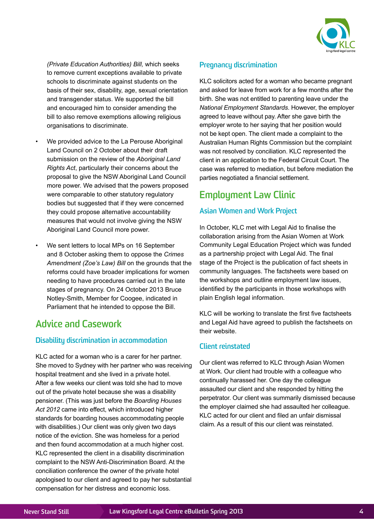

*(Private Education Authorities) Bill,* which seeks to remove current exceptions available to private schools to discriminate against students on the basis of their sex, disability, age, sexual orientation and transgender status. We supported the bill and encouraged him to consider amending the bill to also remove exemptions allowing religious organisations to discriminate.

- We provided advice to the La Perouse Aboriginal Land Council on 2 October about their draft submission on the review of the *Aboriginal Land Rights Act*, particularly their concerns about the proposal to give the NSW Aboriginal Land Council more power. We advised that the powers proposed were comparable to other statutory regulatory bodies but suggested that if they were concerned they could propose alternative accountability measures that would not involve giving the NSW Aboriginal Land Council more power.
- We sent letters to local MPs on 16 September and 8 October asking them to oppose the *Crimes Amendment (Zoe's Law) Bill* on the grounds that the reforms could have broader implications for women needing to have procedures carried out in the late stages of pregnancy. On 24 October 2013 Bruce Notley-Smith, Member for Coogee, indicated in Parliament that he intended to oppose the Bill.

## **Advice and Casework**

#### **Disability discrimination in accommodation**

KLC acted for a woman who is a carer for her partner. She moved to Sydney with her partner who was receiving hospital treatment and she lived in a private hotel. After a few weeks our client was told she had to move out of the private hotel because she was a disability pensioner. (This was just before the *Boarding Houses Act 2012* came into effect, which introduced higher standards for boarding houses accommodating people with disabilities.) Our client was only given two days notice of the eviction. She was homeless for a period and then found accommodation at a much higher cost. KLC represented the client in a disability discrimination complaint to the NSW Anti-Discrimination Board. At the conciliation conference the owner of the private hotel apologised to our client and agreed to pay her substantial compensation for her distress and economic loss.

#### **Pregnancy discrimination**

KLC solicitors acted for a woman who became pregnant and asked for leave from work for a few months after the birth. She was not entitled to parenting leave under the *National Employment Standards*. However, the employer agreed to leave without pay. After she gave birth the employer wrote to her saying that her position would not be kept open. The client made a complaint to the Australian Human Rights Commission but the complaint was not resolved by conciliation. KLC represented the client in an application to the Federal Circuit Court. The case was referred to mediation, but before mediation the parties negotiated a financial settlement.

## **Employment Law Clinic**

#### **Asian Women and Work Project**

In October, KLC met with Legal Aid to finalise the collaboration arising from the Asian Women at Work Community Legal Education Project which was funded as a partnership project with Legal Aid. The final stage of the Project is the publication of fact sheets in community languages. The factsheets were based on the workshops and outline employment law issues, identified by the participants in those workshops with plain English legal information.

KLC will be working to translate the first five factsheets and Legal Aid have agreed to publish the factsheets on their website.

#### **Client reinstated**

Our client was referred to KLC through Asian Women at Work. Our client had trouble with a colleague who continually harassed her. One day the colleague assaulted our client and she responded by hitting the perpetrator. Our client was summarily dismissed because the employer claimed she had assaulted her colleague. KLC acted for our client and filed an unfair dismissal claim. As a result of this our client was reinstated.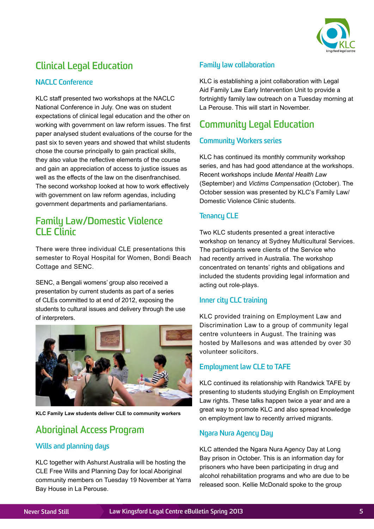

## **Clinical Legal Education**

#### **NACLC Conference**

KLC staff presented two workshops at the NACLC National Conference in July. One was on student expectations of clinical legal education and the other on working with government on law reform issues. The first paper analysed student evaluations of the course for the past six to seven years and showed that whilst students chose the course principally to gain practical skills, they also value the reflective elements of the course and gain an appreciation of access to justice issues as well as the effects of the law on the disenfranchised. The second workshop looked at how to work effectively with government on law reform agendas, including government departments and parliamentarians.

### **Family Law/Domestic Violence CLE Clinic**

There were three individual CLE presentations this semester to Royal Hospital for Women, Bondi Beach Cottage and SENC.

SENC, a Bengali womens' group also received a presentation by current students as part of a series of CLEs committed to at end of 2012, exposing the students to cultural issues and delivery through the use of interpreters.



**KLC Family Law students deliver CLE to community workers**

## **Aboriginal Access Program**

#### **Wills and planning days**

KLC together with Ashurst Australia will be hosting the CLE Free Wills and Planning Day for local Aboriginal community members on Tuesday 19 November at Yarra Bay House in La Perouse.

#### **Family law collaboration**

KLC is establishing a joint collaboration with Legal Aid Family Law Early Intervention Unit to provide a fortnightly family law outreach on a Tuesday morning at La Perouse. This will start in November.

## **Community Legal Education**

#### **Community Workers series**

KLC has continued its monthly community workshop series, and has had good attendance at the workshops. Recent workshops include *Mental Health Law* (September) and *Victims Compensation* (October). The October session was presented by KLC's Family Law/ Domestic Violence Clinic students.

#### **Tenancy CLE**

Two KLC students presented a great interactive workshop on tenancy at Sydney Multicultural Services. The participants were clients of the Service who had recently arrived in Australia. The workshop concentrated on tenants' rights and obligations and included the students providing legal information and acting out role-plays.

#### **Inner city CLC training**

KLC provided training on Employment Law and Discrimination Law to a group of community legal centre volunteers in August. The training was hosted by Mallesons and was attended by over 30 volunteer solicitors.

#### **Employment law CLE to TAFE**

KLC continued its relationship with Randwick TAFE by presenting to students studying English on Employment Law rights. These talks happen twice a year and are a great way to promote KLC and also spread knowledge on employment law to recently arrived migrants.

#### **Ngara Nura Agency Day**

KLC attended the Ngara Nura Agency Day at Long Bay prison in October. This is an information day for prisoners who have been participating in drug and alcohol rehabilitation programs and who are due to be released soon. Kellie McDonald spoke to the group